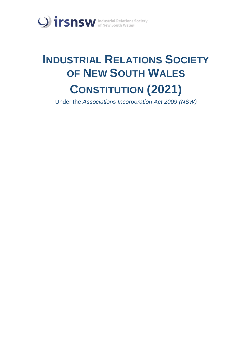

# **INDUSTRIAL RELATIONS SOCIETY OF NEW SOUTH WALES CONSTITUTION (2021)**

Under the *Associations Incorporation Act 2009 (NSW)*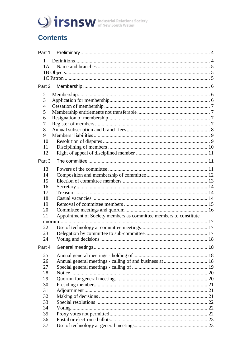

# **Contents**

| Part 1                                                                  |  |  |
|-------------------------------------------------------------------------|--|--|
| $\mathbf{1}$                                                            |  |  |
| 1A                                                                      |  |  |
|                                                                         |  |  |
|                                                                         |  |  |
| Part 2                                                                  |  |  |
| 2                                                                       |  |  |
| 3                                                                       |  |  |
| $\overline{4}$                                                          |  |  |
| 5                                                                       |  |  |
| 6                                                                       |  |  |
| 7                                                                       |  |  |
| 8                                                                       |  |  |
| 9                                                                       |  |  |
| 10                                                                      |  |  |
| 11<br>12                                                                |  |  |
|                                                                         |  |  |
| Part 3                                                                  |  |  |
| 13                                                                      |  |  |
| 14                                                                      |  |  |
| 15                                                                      |  |  |
| 16                                                                      |  |  |
| 17                                                                      |  |  |
| 18                                                                      |  |  |
| 19                                                                      |  |  |
| 20                                                                      |  |  |
| Appointment of Society members as committee members to constitute<br>21 |  |  |
| 22                                                                      |  |  |
| 23                                                                      |  |  |
| 24                                                                      |  |  |
| Part 4                                                                  |  |  |
| 25                                                                      |  |  |
| 26                                                                      |  |  |
| 27                                                                      |  |  |
| 28                                                                      |  |  |
| 29                                                                      |  |  |
| 30                                                                      |  |  |
| 31                                                                      |  |  |
| 32                                                                      |  |  |
| 33                                                                      |  |  |
| 34                                                                      |  |  |
| 35                                                                      |  |  |
| 36                                                                      |  |  |
| 37                                                                      |  |  |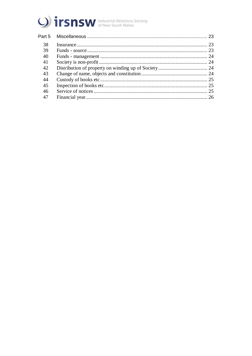

| Part 5 |  |
|--------|--|
| 38     |  |
| 39     |  |
| 40     |  |
| 41     |  |
| 42     |  |
| 43     |  |
| 44     |  |
| 45     |  |
| 46     |  |
| 47     |  |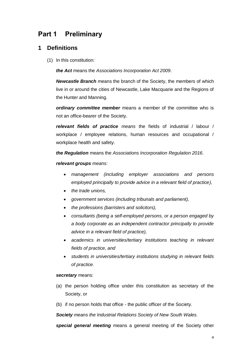# <span id="page-3-0"></span>**Part 1 Preliminary**

## <span id="page-3-1"></span>**1 Definitions**

(1) In this constitution:

*the Act* means the *[Associations Incorporation Act 2009](http://www.legislation.nsw.gov.au/xref/inforce/?xref=Type%3Dact%20AND%20Year%3D2009%20AND%20no%3D7&nohits=y)*.

*Newcastle Branch* means the branch of the Society, the members of which live in or around the cities of Newcastle, Lake Macquarie and the Regions of the Hunter and Manning.

*ordinary committee member* means a member of the committee who is not an office-bearer of the Society.

*relevant fields of practice means* the fields of industrial / labour / workplace / employee relations, human resources and occupational / workplace health and safety.

*the Regulation* means the *[Associations Incorporation Regulation 2016.](http://www.legislation.nsw.gov.au/xref/inforce/?xref=Type%3Dsubordleg%20AND%20Year%3D2010%20AND%20No%3D238&nohits=y)*

*relevant groups means:*

- *management (including employer associations and persons employed principally to provide advice in a relevant field of practice),*
- *the trade unions,*
- *government services (including tribunals and parliament),*
- *the professions (barristers and solicitors),*
- *consultants (being a self-employed persons, or a person engaged by a body corporate as an independent contractor principally to provide advice in a relevant field of practice),*
- *academics in universities/tertiary institutions teaching in relevant fields of practice, and*
- *students in universities/tertiary institutions studying in relevant fields of practice.*

#### *secretary* means:

- (a) the person holding office under this constitution as secretary of the Society, or
- (b) if no person holds that office the public officer of the Society.

*Society means the Industrial Relations Society of New South Wales.*

*special general meeting* means a general meeting of the Society other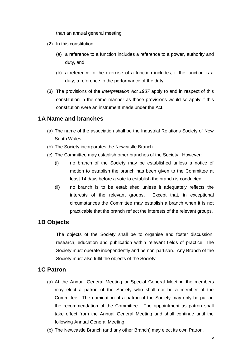than an annual general meeting.

- (2) In this constitution:
	- (a) a reference to a function includes a reference to a power, authority and duty, and
	- (b) a reference to the exercise of a function includes, if the function is a duty, a reference to the performance of the duty.
- (3) The provisions of the *[Interpretation Act 1987](http://www.legislation.nsw.gov.au/xref/inforce/?xref=Type%3Dact%20AND%20Year%3D1987%20AND%20no%3D15&nohits=y)* apply to and in respect of this constitution in the same manner as those provisions would so apply if this constitution were an instrument made under the Act.

## <span id="page-4-0"></span>**1A Name and branches**

- (a) The name of the association shall be the Industrial Relations Society of New South Wales.
- (b) The Society incorporates the Newcastle Branch.
- (c) The Committee may establish other branches of the Society. However:
	- (i) no branch of the Society may be established unless a notice of motion to establish the branch has been given to the Committee at least 14 days before a vote to establish the branch is conducted.
	- (ii) no branch is to be established unless it adequately reflects the interests of the relevant groups. Except that, in exceptional circumstances the Committee may establish a branch when it is not practicable that the branch reflect the interests of the relevant groups.

## <span id="page-4-1"></span>**1B Objects**

The objects of the Society shall be to organise and foster discussion, research, education and publication within relevant fields of practice. The Society must operate independently and be non-partisan. Any Branch of the Society must also fulfil the objects of the Society.

## <span id="page-4-2"></span>**1C Patron**

- (a) At the Annual General Meeting or Special General Meeting the members may elect a patron of the Society who shall not be a member of the Committee. The nomination of a patron of the Society may only be put on the recommendation of the Committee. The appointment as patron shall take effect from the Annual General Meeting and shall continue until the following Annual General Meeting.
- (b) The Newcastle Branch (and any other Branch) may elect its own Patron.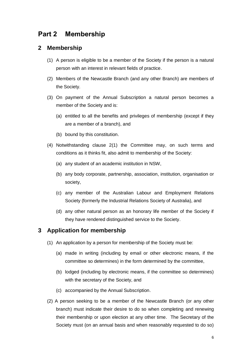# <span id="page-5-0"></span>**Part 2 Membership**

#### <span id="page-5-1"></span>**2 Membership**

- (1) A person is eligible to be a member of the Society if the person is a natural person with an interest in relevant fields of practice.
- (2) Members of the Newcastle Branch (and any other Branch) are members of the Society.
- (3) On payment of the Annual Subscription a natural person becomes a member of the Society and is:
	- (a) entitled to all the benefits and privileges of membership (except if they are a member of a branch), and
	- (b) bound by this constitution.
- (4) Notwithstanding clause 2(1) the Committee may, on such terms and conditions as it thinks fit, also admit to membership of the Society:
	- (a) any student of an academic institution in NSW,
	- (b) any body corporate, partnership, association, institution, organisation or society,
	- (c) any member of the Australian Labour and Employment Relations Society (formerly the Industrial Relations Society of Australia), and
	- (d) any other natural person as an honorary life member of the Society if they have rendered distinguished service to the Society.

## <span id="page-5-2"></span>**3 Application for membership**

- (1) An application by a person for membership of the Society must be:
	- (a) made in writing (including by email or other electronic means, if the committee so determines) in the form determined by the committee,
	- (b) lodged (including by electronic means, if the committee so determines) with the secretary of the Society, and
	- (c) accompanied by the Annual Subscription.
- (2) A person seeking to be a member of the Newcastle Branch (or any other branch) must indicate their desire to do so when completing and renewing their membership or upon election at any other time. The Secretary of the Society must (on an annual basis and when reasonably requested to do so)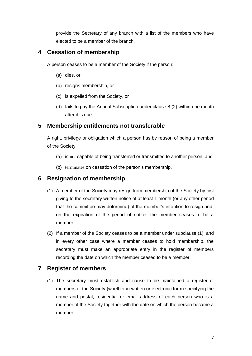provide the Secretary of any branch with a list of the members who have elected to be a member of the branch.

## <span id="page-6-0"></span>**4 Cessation of membership**

A person ceases to be a member of the Society if the person:

- (a) dies, or
- (b) resigns membership, or
- (c) is expelled from the Society, or
- (d) fails to pay the Annual Subscription under clause 8 (2) within one month after it is due.

## <span id="page-6-1"></span>**5 Membership entitlements not transferable**

A right, privilege or obligation which a person has by reason of being a member of the Society:

- (a) is not capable of being transferred or transmitted to another person, and
- (b) terminates on cessation of the person's membership.

## <span id="page-6-2"></span>**6 Resignation of membership**

- (1) A member of the Society may resign from membership of the Society by first giving to the secretary written notice of at least 1 month (or any other period that the committee may determine) of the member's intention to resign and, on the expiration of the period of notice, the member ceases to be a member.
- (2) If a member of the Society ceases to be a member under subclause (1), and in every other case where a member ceases to hold membership, the secretary must make an appropriate entry in the register of members recording the date on which the member ceased to be a member.

## <span id="page-6-3"></span>**7 Register of members**

(1) The secretary must establish and cause to be maintained a register of members of the Society (whether in written or electronic form) specifying the name and postal, residential or email address of each person who is a member of the Society together with the date on which the person became a member.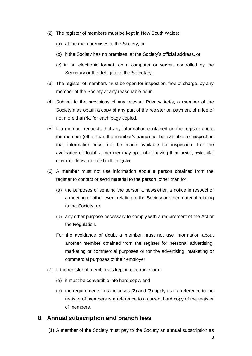- (2) The register of members must be kept in New South Wales:
	- (a) at the main premises of the Society, or
	- (b) if the Society has no premises, at the Society's official address, or
	- (c) in an electronic format, on a computer or server, controlled by the Secretary or the delegate of the Secretary.
- (3) The register of members must be open for inspection, free of charge, by any member of the Society at any reasonable hour.
- (4) Subject to the provisions of any relevant Privacy Act/s, a member of the Society may obtain a copy of any part of the register on payment of a fee of not more than \$1 for each page copied.
- (5) If a member requests that any information contained on the register about the member (other than the member's name) not be available for inspection that information must not be made available for inspection. For the avoidance of doubt, a member may opt out of having their postal, residential or email address recorded in the register.
- (6) A member must not use information about a person obtained from the register to contact or send material to the person, other than for:
	- (a) the purposes of sending the person a newsletter, a notice in respect of a meeting or other event relating to the Society or other material relating to the Society, or
	- (b) any other purpose necessary to comply with a requirement of the Act or the Regulation.
	- For the avoidance of doubt a member must not use information about another member obtained from the register for personal advertising, marketing or commercial purposes or for the advertising, marketing or commercial purposes of their employer.
- (7) If the register of members is kept in electronic form:
	- (a) it must be convertible into hard copy, and
	- (b) the requirements in subclauses (2) and (3) apply as if a reference to the register of members is a reference to a current hard copy of the register of members.

#### <span id="page-7-0"></span>**8 Annual subscription and branch fees**

(1) A member of the Society must pay to the Society an annual subscription as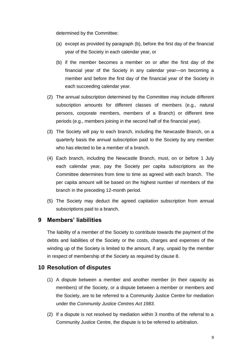determined by the Committee:

- (a) except as provided by paragraph (b), before the first day of the financial year of the Society in each calendar year, or
- (b) if the member becomes a member on or after the first day of the financial year of the Society in any calendar year—on becoming a member and before the first day of the financial year of the Society in each succeeding calendar year.
- (2) The annual subscription determined by the Committee may include different subscription amounts for different classes of members (e.g., natural persons, corporate members, members of a Branch) or different time periods (e.g., members joining in the second half of the financial year).
- (3) The Society will pay to each branch, including the Newcastle Branch, on a quarterly basis the annual subscription paid to the Society by any member who has elected to be a member of a branch.
- (4) Each branch, including the Newcastle Branch, must, on or before 1 July each calendar year, pay the Society per capita subscriptions as the Committee determines from time to time as agreed with each branch. The per capita amount will be based on the highest number of members of the branch in the preceding 12-month period.
- (5) The Society may deduct the agreed capitation subscription from annual subscriptions paid to a branch.

## <span id="page-8-0"></span>**9 Members' liabilities**

The liability of a member of the Society to contribute towards the payment of the debts and liabilities of the Society or the costs, charges and expenses of the winding up of the Society is limited to the amount, if any, unpaid by the member in respect of membership of the Society as required by clause 8.

#### <span id="page-8-1"></span>**10 Resolution of disputes**

- (1) A dispute between a member and another member (in their capacity as members) of the Society, or a dispute between a member or members and the Society, are to be referred to a Community Justice Centre for mediation under the *Community Justice Centres Act 1983*.
- (2) If a dispute is not resolved by mediation within 3 months of the referral to a Community Justice Centre, the dispute is to be referred to arbitration.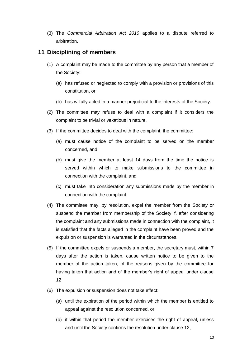(3) The *Commercial Arbitration Act 2010* applies to a dispute referred to arbitration.

#### <span id="page-9-0"></span>**11 Disciplining of members**

- (1) A complaint may be made to the committee by any person that a member of the Society:
	- (a) has refused or neglected to comply with a provision or provisions of this constitution, or
	- (b) has wilfully acted in a manner prejudicial to the interests of the Society.
- (2) The committee may refuse to deal with a complaint if it considers the complaint to be trivial or vexatious in nature.
- (3) If the committee decides to deal with the complaint, the committee:
	- (a) must cause notice of the complaint to be served on the member concerned, and
	- (b) must give the member at least 14 days from the time the notice is served within which to make submissions to the committee in connection with the complaint, and
	- (c) must take into consideration any submissions made by the member in connection with the complaint.
- (4) The committee may, by resolution, expel the member from the Society or suspend the member from membership of the Society if, after considering the complaint and any submissions made in connection with the complaint, it is satisfied that the facts alleged in the complaint have been proved and the expulsion or suspension is warranted in the circumstances.
- (5) If the committee expels or suspends a member, the secretary must, within 7 days after the action is taken, cause written notice to be given to the member of the action taken, of the reasons given by the committee for having taken that action and of the member's right of appeal under clause 12.
- (6) The expulsion or suspension does not take effect:
	- (a) until the expiration of the period within which the member is entitled to appeal against the resolution concerned, or
	- (b) if within that period the member exercises the right of appeal, unless and until the Society confirms the resolution under clause 12,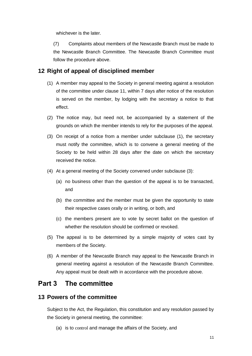whichever is the later.

(7) Complaints about members of the Newcastle Branch must be made to the Newcastle Branch Committee. The Newcastle Branch Committee must follow the procedure above.

#### <span id="page-10-0"></span>**12 Right of appeal of disciplined member**

- (1) A member may appeal to the Society in general meeting against a resolution of the committee under clause 11, within 7 days after notice of the resolution is served on the member, by lodging with the secretary a notice to that effect.
- (2) The notice may, but need not, be accompanied by a statement of the grounds on which the member intends to rely for the purposes of the appeal.
- (3) On receipt of a notice from a member under subclause (1), the secretary must notify the committee, which is to convene a general meeting of the Society to be held within 28 days after the date on which the secretary received the notice.
- (4) At a general meeting of the Society convened under subclause (3):
	- (a) no business other than the question of the appeal is to be transacted, and
	- (b) the committee and the member must be given the opportunity to state their respective cases orally or in writing, or both, and
	- (c) the members present are to vote by secret ballot on the question of whether the resolution should be confirmed or revoked.
- (5) The appeal is to be determined by a simple majority of votes cast by members of the Society.
- (6) A member of the Newcastle Branch may appeal to the Newcastle Branch in general meeting against a resolution of the Newcastle Branch Committee. Any appeal must be dealt with in accordance with the procedure above.

# <span id="page-10-1"></span>**Part 3 The committee**

#### <span id="page-10-2"></span>**13 Powers of the committee**

Subject to the Act, the Regulation, this constitution and any resolution passed by the Society in general meeting, the committee:

(a) is to control and manage the affairs of the Society, and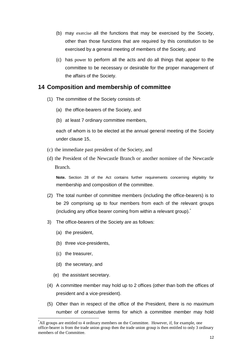- (b) may exercise all the functions that may be exercised by the Society, other than those functions that are required by this constitution to be exercised by a general meeting of members of the Society, and
- (c) has power to perform all the acts and do all things that appear to the committee to be necessary or desirable for the proper management of the affairs of the Society.

## <span id="page-11-0"></span>**14 Composition and membership of committee**

- (1) The committee of the Society consists of:
	- (a) the office-bearers of the Society, and
	- (b) at least 7 ordinary committee members,

each of whom is to be elected at the annual general meeting of the Society under clause 15,

- (c) the immediate past president of the Society, and
- (d) the President of the Newcastle Branch or another nominee of the Newcastle Branch.

**Note.** Section 28 of the Act contains further requirements concerning eligibility for membership and composition of the committee.

- (2) The total number of committee members (including the office-bearers) is to be 29 comprising up to four members from each of the relevant groups (including any office bearer coming from within a relevant group). $\dot{\ }$
- 3) The office-bearers of the Society are as follows:
	- (a) the president,
	- (b) three vice-presidents,
	- (c) the treasurer,

<u>.</u>

- (d) the secretary, and
- (e) the assistant secretary.
- (4) A committee member may hold up to 2 offices (other than both the offices of president and a vice-president).
- (5) Other than in respect of the office of the President, there is no maximum number of consecutive terms for which a committee member may hold

<sup>\*</sup>All groups are entitled to 4 ordinary members on the Committee. However, if, for example, one office-bearer is from the trade union group then the trade union group is then entitled to only 3 ordinary members of the Committee.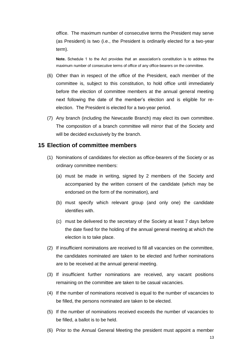office. The maximum number of consecutive terms the President may serve (as President) is two (i.e., the President is ordinarily elected for a two-year term).

**Note.** Schedule 1 to the Act provides that an association's constitution is to address the maximum number of consecutive terms of office of any office-bearers on the committee.

- (6) Other than in respect of the office of the President, each member of the committee is, subject to this constitution, to hold office until immediately before the election of committee members at the annual general meeting next following the date of the member's election and is eligible for reelection. The President is elected for a two-year period.
- (7) Any branch (including the Newcastle Branch) may elect its own committee. The composition of a branch committee will mirror that of the Society and will be decided exclusively by the branch.

#### <span id="page-12-0"></span>**15 Election of committee members**

- (1) Nominations of candidates for election as office-bearers of the Society or as ordinary committee members:
	- (a) must be made in writing, signed by 2 members of the Society and accompanied by the written consent of the candidate (which may be endorsed on the form of the nomination), and
	- (b) must specify which relevant group (and only one) the candidate identifies with.
	- (c) must be delivered to the secretary of the Society at least 7 days before the date fixed for the holding of the annual general meeting at which the election is to take place.
- (2) If insufficient nominations are received to fill all vacancies on the committee, the candidates nominated are taken to be elected and further nominations are to be received at the annual general meeting.
- (3) If insufficient further nominations are received, any vacant positions remaining on the committee are taken to be casual vacancies.
- (4) If the number of nominations received is equal to the number of vacancies to be filled, the persons nominated are taken to be elected.
- (5) If the number of nominations received exceeds the number of vacancies to be filled, a ballot is to be held.
- (6) Prior to the Annual General Meeting the president must appoint a member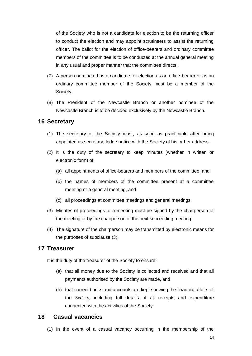of the Society who is not a candidate for election to be the returning officer to conduct the election and may appoint scrutineers to assist the returning officer. The ballot for the election of office-bearers and ordinary committee members of the committee is to be conducted at the annual general meeting in any usual and proper manner that the committee directs.

- (7) A person nominated as a candidate for election as an office-bearer or as an ordinary committee member of the Society must be a member of the Society.
- (8) The President of the Newcastle Branch or another nominee of the Newcastle Branch is to be decided exclusively by the Newcastle Branch.

#### <span id="page-13-0"></span>**16 Secretary**

- (1) The secretary of the Society must, as soon as practicable after being appointed as secretary, lodge notice with the Society of his or her address.
- (2) It is the duty of the secretary to keep minutes (whether in written or electronic form) of:
	- (a) all appointments of office-bearers and members of the committee, and
	- (b) the names of members of the committee present at a committee meeting or a general meeting, and
	- (c) all proceedings at committee meetings and general meetings.
- (3) Minutes of proceedings at a meeting must be signed by the chairperson of the meeting or by the chairperson of the next succeeding meeting.
- (4) The signature of the chairperson may be transmitted by electronic means for the purposes of subclause (3).

#### <span id="page-13-1"></span>**17 Treasurer**

It is the duty of the treasurer of the Society to ensure:

- (a) that all money due to the Society is collected and received and that all payments authorised by the Society are made, and
- (b) that correct books and accounts are kept showing the financial affairs of the Society, including full details of all receipts and expenditure connected with the activities of the Society.

#### <span id="page-13-2"></span>**18 Casual vacancies**

(1) In the event of a casual vacancy occurring in the membership of the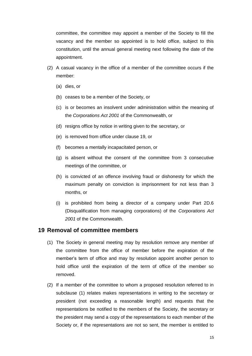committee, the committee may appoint a member of the Society to fill the vacancy and the member so appointed is to hold office, subject to this constitution, until the annual general meeting next following the date of the appointment.

- (2) A casual vacancy in the office of a member of the committee occurs if the member:
	- (a) dies, or
	- (b) ceases to be a member of the Society, or
	- (c) is or becomes an insolvent under administration within the meaning of the *[Corporations Act 2001](http://www.comlaw.gov.au/)* of the Commonwealth, or
	- (d) resigns office by notice in writing given to the secretary, or
	- (e) is removed from office under clause 19, or
	- (f) becomes a mentally incapacitated person, or
	- (g) is absent without the consent of the committee from 3 consecutive meetings of the committee, or
	- (h) is convicted of an offence involving fraud or dishonesty for which the maximum penalty on conviction is imprisonment for not less than 3 months, or
	- (i) is prohibited from being a director of a company under Part 2D.6 (Disqualification from managing corporations) of the *[Corporations Act](http://www.comlaw.gov.au/)  [2001](http://www.comlaw.gov.au/)* of the Commonwealth.

#### <span id="page-14-0"></span>**19 Removal of committee members**

- (1) The Society in general meeting may by resolution remove any member of the committee from the office of member before the expiration of the member's term of office and may by resolution appoint another person to hold office until the expiration of the term of office of the member so removed.
- (2) If a member of the committee to whom a proposed resolution referred to in subclause (1) relates makes representations in writing to the secretary or president (not exceeding a reasonable length) and requests that the representations be notified to the members of the Society, the secretary or the president may send a copy of the representations to each member of the Society or, if the representations are not so sent, the member is entitled to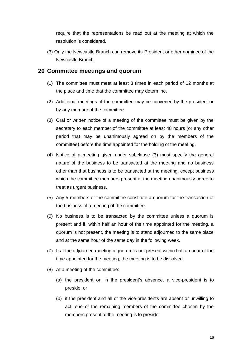require that the representations be read out at the meeting at which the resolution is considered.

(3) Only the Newcastle Branch can remove its President or other nominee of the Newcastle Branch.

#### <span id="page-15-0"></span>**20 Committee meetings and quorum**

- (1) The committee must meet at least 3 times in each period of 12 months at the place and time that the committee may determine.
- (2) Additional meetings of the committee may be convened by the president or by any member of the committee.
- (3) Oral or written notice of a meeting of the committee must be given by the secretary to each member of the committee at least 48 hours (or any other period that may be unanimously agreed on by the members of the committee) before the time appointed for the holding of the meeting.
- (4) Notice of a meeting given under subclause (3) must specify the general nature of the business to be transacted at the meeting and no business other than that business is to be transacted at the meeting, except business which the committee members present at the meeting unanimously agree to treat as urgent business.
- (5) Any 5 members of the committee constitute a quorum for the transaction of the business of a meeting of the committee.
- (6) No business is to be transacted by the committee unless a quorum is present and if, within half an hour of the time appointed for the meeting, a quorum is not present, the meeting is to stand adjourned to the same place and at the same hour of the same day in the following week.
- (7) If at the adjourned meeting a quorum is not present within half an hour of the time appointed for the meeting, the meeting is to be dissolved.
- (8) At a meeting of the committee:
	- (a) the president or, in the president's absence, a vice-president is to preside, or
	- (b) if the president and all of the vice-presidents are absent or unwilling to act, one of the remaining members of the committee chosen by the members present at the meeting is to preside.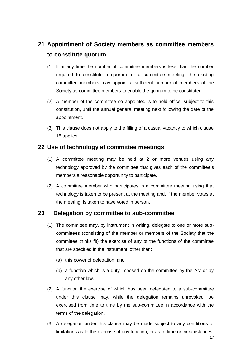# <span id="page-16-0"></span>**21 Appointment of Society members as committee members to constitute quorum**

- (1) If at any time the number of committee members is less than the number required to constitute a quorum for a committee meeting, the existing committee members may appoint a sufficient number of members of the Society as committee members to enable the quorum to be constituted.
- (2) A member of the committee so appointed is to hold office, subject to this constitution, until the annual general meeting next following the date of the appointment.
- (3) This clause does not apply to the filling of a casual vacancy to which clause 18 applies.

## <span id="page-16-1"></span>**22 Use of technology at committee meetings**

- (1) A committee meeting may be held at 2 or more venues using any technology approved by the committee that gives each of the committee's members a reasonable opportunity to participate.
- (2) A committee member who participates in a committee meeting using that technology is taken to be present at the meeting and, if the member votes at the meeting, is taken to have voted in person.

## <span id="page-16-2"></span>**23 Delegation by committee to sub-committee**

- (1) The committee may, by instrument in writing, delegate to one or more subcommittees (consisting of the member or members of the Society that the committee thinks fit) the exercise of any of the functions of the committee that are specified in the instrument, other than:
	- (a) this power of delegation, and
	- (b) a function which is a duty imposed on the committee by the Act or by any other law.
- (2) A function the exercise of which has been delegated to a sub-committee under this clause may, while the delegation remains unrevoked, be exercised from time to time by the sub-committee in accordance with the terms of the delegation.
- (3) A delegation under this clause may be made subject to any conditions or limitations as to the exercise of any function, or as to time or circumstances,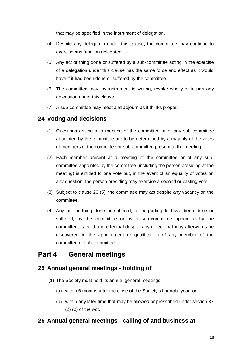that may be specified in the instrument of delegation.

- (4) Despite any delegation under this clause, the committee may continue to exercise any function delegated.
- (5) Any act or thing done or suffered by a sub-committee acting in the exercise of a delegation under this clause has the same force and effect as it would have if it had been done or suffered by the committee.
- (6) The committee may, by instrument in writing, revoke wholly or in part any delegation under this clause.
- (7) A sub-committee may meet and adjourn as it thinks proper.

## <span id="page-17-0"></span>**24 Voting and decisions**

- (1) Questions arising at a meeting of the committee or of any sub-committee appointed by the committee are to be determined by a majority of the votes of members of the committee or sub-committee present at the meeting.
- (2) Each member present at a meeting of the committee or of any subcommittee appointed by the committee (including the person presiding at the meeting) is entitled to one vote but, in the event of an equality of votes on any question, the person presiding may exercise a second or casting vote.
- (3) Subject to clause 20 (5), the committee may act despite any vacancy on the committee.
- (4) Any act or thing done or suffered, or purporting to have been done or suffered, by the committee or by a sub-committee appointed by the committee, is valid and effectual despite any defect that may afterwards be discovered in the appointment or qualification of any member of the committee or sub-committee.

# <span id="page-17-1"></span>**Part 4 General meetings**

## <span id="page-17-2"></span>**25 Annual general meetings - holding of**

- (1) The Society must hold its annual general meetings:
	- (a) within 6 months after the close of the Society's financial year, or
	- (b) within any later time that may be allowed or prescribed under section 37 (2) (b) of the Act.

## <span id="page-17-3"></span>**26 Annual general meetings - calling of and business at**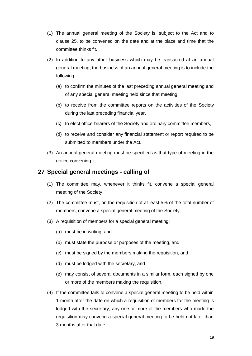- (1) The annual general meeting of the Society is, subject to the Act and to clause 25, to be convened on the date and at the place and time that the committee thinks fit.
- (2) In addition to any other business which may be transacted at an annual general meeting, the business of an annual general meeting is to include the following:
	- (a) to confirm the minutes of the last preceding annual general meeting and of any special general meeting held since that meeting,
	- (b) to receive from the committee reports on the activities of the Society during the last preceding financial year,
	- (c) to elect office-bearers of the Society and ordinary committee members,
	- (d) to receive and consider any financial statement or report required to be submitted to members under the Act.
- (3) An annual general meeting must be specified as that type of meeting in the notice convening it.

## <span id="page-18-0"></span>**27 Special general meetings - calling of**

- (1) The committee may, whenever it thinks fit, convene a special general meeting of the Society.
- (2) The committee must, on the requisition of at least 5% of the total number of members, convene a special general meeting of the Society.
- (3) A requisition of members for a special general meeting:
	- (a) must be in writing, and
	- (b) must state the purpose or purposes of the meeting, and
	- (c) must be signed by the members making the requisition, and
	- (d) must be lodged with the secretary, and
	- (e) may consist of several documents in a similar form, each signed by one or more of the members making the requisition.
- (4) If the committee fails to convene a special general meeting to be held within 1 month after the date on which a requisition of members for the meeting is lodged with the secretary, any one or more of the members who made the requisition may convene a special general meeting to be held not later than 3 months after that date.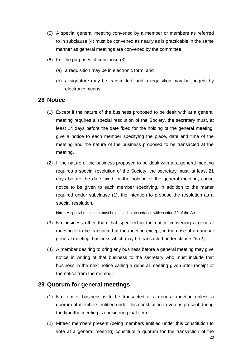- (5) A special general meeting convened by a member or members as referred to in subclause (4) must be convened as nearly as is practicable in the same manner as general meetings are convened by the committee.
- (6) For the purposes of subclause (3):
	- (a) a requisition may be in electronic form, and
	- (b) a signature may be transmitted, and a requisition may be lodged, by electronic means.

#### <span id="page-19-0"></span>**28 Notice**

- (1) Except if the nature of the business proposed to be dealt with at a general meeting requires a special resolution of the Society, the secretary must, at least 14 days before the date fixed for the holding of the general meeting, give a notice to each member specifying the place, date and time of the meeting and the nature of the business proposed to be transacted at the meeting.
- (2) If the nature of the business proposed to be dealt with at a general meeting requires a special resolution of the Society, the secretary must, at least 21 days before the date fixed for the holding of the general meeting, cause notice to be given to each member specifying, in addition to the matter required under subclause (1), the intention to propose the resolution as a special resolution.

**Note.** A special resolution must be passed in accordance with section 39 of the Act.

- (3) No business other than that specified in the notice convening a general meeting is to be transacted at the meeting except, in the case of an annual general meeting, business which may be transacted under clause 26 (2).
- (4) A member desiring to bring any business before a general meeting may give notice in writing of that business to the secretary who must include that business in the next notice calling a general meeting given after receipt of the notice from the member.

#### <span id="page-19-1"></span>**29 Quorum for general meetings**

- (1) No item of business is to be transacted at a general meeting unless a quorum of members entitled under this constitution to vote is present during the time the meeting is considering that item.
- 20 (2) Fifteen members present (being members entitled under this constitution to vote at a general meeting) constitute a quorum for the transaction of the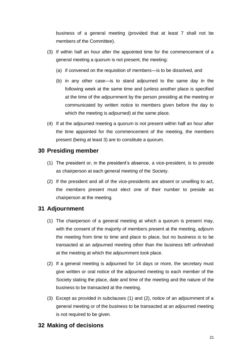business of a general meeting (provided that at least 7 shall not be members of the Committee).

- (3) If within half an hour after the appointed time for the commencement of a general meeting a quorum is not present, the meeting:
	- (a) if convened on the requisition of members—is to be dissolved, and
	- (b) in any other case—is to stand adjourned to the same day in the following week at the same time and (unless another place is specified at the time of the adjournment by the person presiding at the meeting or communicated by written notice to members given before the day to which the meeting is adjourned) at the same place.
- (4) If at the adjourned meeting a quorum is not present within half an hour after the time appointed for the commencement of the meeting, the members present (being at least 3) are to constitute a quorum.

## <span id="page-20-0"></span>**30 Presiding member**

- (1) The president or, in the president's absence, a vice-president, is to preside as chairperson at each general meeting of the Society.
- (2) If the president and all of the vice-presidents are absent or unwilling to act, the members present must elect one of their number to preside as chairperson at the meeting.

## <span id="page-20-1"></span>**31 Adjournment**

- (1) The chairperson of a general meeting at which a quorum is present may, with the consent of the majority of members present at the meeting, adjourn the meeting from time to time and place to place, but no business is to be transacted at an adjourned meeting other than the business left unfinished at the meeting at which the adjournment took place.
- (2) If a general meeting is adjourned for 14 days or more, the secretary must give written or oral notice of the adjourned meeting to each member of the Society stating the place, date and time of the meeting and the nature of the business to be transacted at the meeting.
- (3) Except as provided in subclauses (1) and (2), notice of an adjournment of a general meeting or of the business to be transacted at an adjourned meeting is not required to be given.

## <span id="page-20-2"></span>**32 Making of decisions**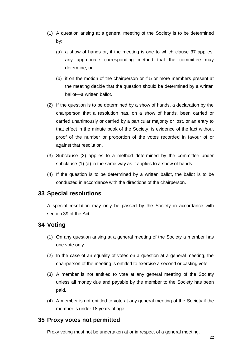- (1) A question arising at a general meeting of the Society is to be determined by:
	- (a) a show of hands or, if the meeting is one to which clause 37 applies, any appropriate corresponding method that the committee may determine, or
	- (b) if on the motion of the chairperson or if 5 or more members present at the meeting decide that the question should be determined by a written ballot—a written ballot.
- (2) If the question is to be determined by a show of hands, a declaration by the chairperson that a resolution has, on a show of hands, been carried or carried unanimously or carried by a particular majority or lost, or an entry to that effect in the minute book of the Society, is evidence of the fact without proof of the number or proportion of the votes recorded in favour of or against that resolution.
- (3) Subclause (2) applies to a method determined by the committee under subclause (1) (a) in the same way as it applies to a show of hands.
- (4) If the question is to be determined by a written ballot, the ballot is to be conducted in accordance with the directions of the chairperson.

#### <span id="page-21-0"></span>**33 Special resolutions**

A special resolution may only be passed by the Society in accordance with section 39 of the Act.

## <span id="page-21-1"></span>**34 Voting**

- (1) On any question arising at a general meeting of the Society a member has one vote only.
- (2) In the case of an equality of votes on a question at a general meeting, the chairperson of the meeting is entitled to exercise a second or casting vote.
- (3) A member is not entitled to vote at any general meeting of the Society unless all money due and payable by the member to the Society has been paid.
- (4) A member is not entitled to vote at any general meeting of the Society if the member is under 18 years of age.

#### <span id="page-21-2"></span>**35 Proxy votes not permitted**

Proxy voting must not be undertaken at or in respect of a general meeting.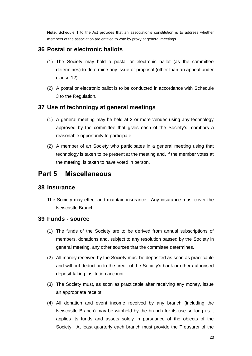**Note.** Schedule 1 to the Act provides that an association's constitution is to address whether members of the association are entitled to vote by proxy at general meetings.

## <span id="page-22-0"></span>**36 Postal or electronic ballots**

- (1) The Society may hold a postal or electronic ballot (as the committee determines) to determine any issue or proposal (other than an appeal under clause 12).
- (2) A postal or electronic ballot is to be conducted in accordance with Schedule 3 to the Regulation.

#### <span id="page-22-1"></span>**37 Use of technology at general meetings**

- (1) A general meeting may be held at 2 or more venues using any technology approved by the committee that gives each of the Society's members a reasonable opportunity to participate.
- (2) A member of an Society who participates in a general meeting using that technology is taken to be present at the meeting and, if the member votes at the meeting, is taken to have voted in person.

## <span id="page-22-2"></span>**Part 5 Miscellaneous**

#### <span id="page-22-3"></span>**38 Insurance**

The Society may effect and maintain insurance. Any insurance must cover the Newcastle Branch.

#### <span id="page-22-4"></span>**39 Funds - source**

- (1) The funds of the Society are to be derived from annual subscriptions of members, donations and, subject to any resolution passed by the Society in general meeting, any other sources that the committee determines.
- (2) All money received by the Society must be deposited as soon as practicable and without deduction to the credit of the Society's bank or other authorised deposit-taking institution account.
- (3) The Society must, as soon as practicable after receiving any money, issue an appropriate receipt.
- (4) All donation and event income received by any branch (including the Newcastle Branch) may be withheld by the branch for its use so long as it applies its funds and assets solely in pursuance of the objects of the Society. At least quarterly each branch must provide the Treasurer of the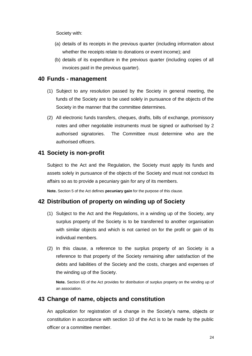Society with:

- (a) details of its receipts in the previous quarter (including information about whether the receipts relate to donations or event income); and
- (b) details of its expenditure in the previous quarter (including copies of all invoices paid in the previous quarter).

#### <span id="page-23-0"></span>**40 Funds - management**

- (1) Subject to any resolution passed by the Society in general meeting, the funds of the Society are to be used solely in pursuance of the objects of the Society in the manner that the committee determines.
- (2) All electronic funds transfers, cheques, drafts, bills of exchange, promissory notes and other negotiable instruments must be signed or authorised by 2 authorised signatories. The Committee must determine who are the authorised officers.

#### <span id="page-23-1"></span>**41 Society is non-profit**

Subject to the Act and the Regulation, the Society must apply its funds and assets solely in pursuance of the objects of the Society and must not conduct its affairs so as to provide a pecuniary gain for any of its members.

**Note.** Section 5 of the Act defines **pecuniary gain** for the purpose of this clause.

## <span id="page-23-2"></span>**42 Distribution of property on winding up of Society**

- (1) Subject to the Act and the Regulations, in a winding up of the Society, any surplus property of the Society is to be transferred to another organisation with similar objects and which is not carried on for the profit or gain of its individual members.
- (2) In this clause, a reference to the surplus property of an Society is a reference to that property of the Society remaining after satisfaction of the debts and liabilities of the Society and the costs, charges and expenses of the winding up of the Society.

**Note.** Section 65 of the Act provides for distribution of surplus property on the winding up of an association.

#### <span id="page-23-3"></span>**43 Change of name, objects and constitution**

An application for registration of a change in the Society's name, objects or constitution in accordance with section 10 of the Act is to be made by the public officer or a committee member.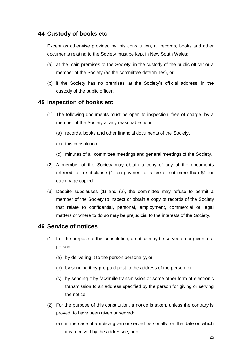## <span id="page-24-0"></span>**44 Custody of books etc**

Except as otherwise provided by this constitution, all records, books and other documents relating to the Society must be kept in New South Wales:

- (a) at the main premises of the Society, in the custody of the public officer or a member of the Society (as the committee determines), or
- (b) if the Society has no premises, at the Society's official address, in the custody of the public officer.

## <span id="page-24-1"></span>**45 Inspection of books etc**

- (1) The following documents must be open to inspection, free of charge, by a member of the Society at any reasonable hour:
	- (a) records, books and other financial documents of the Society,
	- (b) this constitution,
	- (c) minutes of all committee meetings and general meetings of the Society.
- (2) A member of the Society may obtain a copy of any of the documents referred to in subclause (1) on payment of a fee of not more than \$1 for each page copied.
- (3) Despite subclauses (1) and (2), the committee may refuse to permit a member of the Society to inspect or obtain a copy of records of the Society that relate to confidential, personal, employment, commercial or legal matters or where to do so may be prejudicial to the interests of the Society.

#### <span id="page-24-2"></span>**46 Service of notices**

- (1) For the purpose of this constitution, a notice may be served on or given to a person:
	- (a) by delivering it to the person personally, or
	- (b) by sending it by pre-paid post to the address of the person, or
	- (c) by sending it by facsimile transmission or some other form of electronic transmission to an address specified by the person for giving or serving the notice.
- (2) For the purpose of this constitution, a notice is taken, unless the contrary is proved, to have been given or served:
	- (a) in the case of a notice given or served personally, on the date on which it is received by the addressee, and